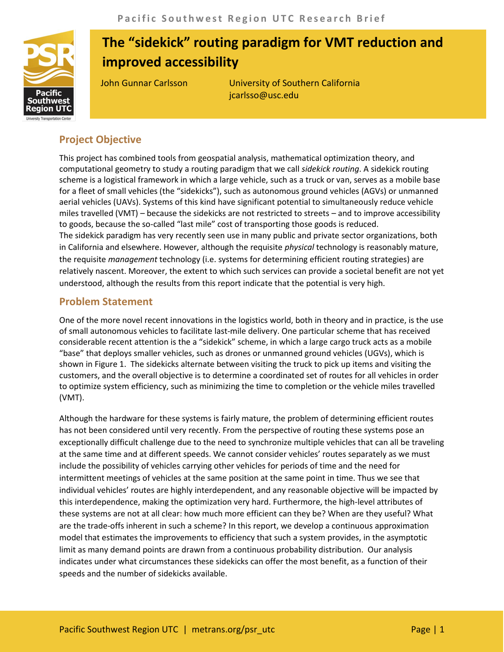

# **The "sidekick" routing paradigm for VMT reduction and improved accessibility**

John Gunnar Carlsson University of Southern California jcarlsso@usc.edu

## **Project Objective**

This project has combined tools from geospatial analysis, mathematical optimization theory, and computational geometry to study a routing paradigm that we call *sidekick routing*. A sidekick routing scheme is a logistical framework in which a large vehicle, such as a truck or van, serves as a mobile base for a fleet of small vehicles (the "sidekicks"), such as autonomous ground vehicles (AGVs) or unmanned aerial vehicles (UAVs). Systems of this kind have significant potential to simultaneously reduce vehicle miles travelled (VMT) – because the sidekicks are not restricted to streets – and to improve accessibility to goods, because the so-called "last mile" cost of transporting those goods is reduced. The sidekick paradigm has very recently seen use in many public and private sector organizations, both in California and elsewhere. However, although the requisite *physical* technology is reasonably mature, the requisite *management* technology (i.e. systems for determining efficient routing strategies) are relatively nascent. Moreover, the extent to which such services can provide a societal benefit are not yet understood, although the results from this report indicate that the potential is very high.

## **Problem Statement**

One of the more novel recent innovations in the logistics world, both in theory and in practice, is the use of small autonomous vehicles to facilitate last-mile delivery. One particular scheme that has received considerable recent attention is the a "sidekick" scheme, in which a large cargo truck acts as a mobile "base" that deploys smaller vehicles, such as drones or unmanned ground vehicles (UGVs), which is shown in Figure 1. The sidekicks alternate between visiting the truck to pick up items and visiting the customers, and the overall objective is to determine a coordinated set of routes for all vehicles in order to optimize system efficiency, such as minimizing the time to completion or the vehicle miles travelled (VMT).

Although the hardware for these systems is fairly mature, the problem of determining efficient routes has not been considered until very recently. From the perspective of routing these systems pose an exceptionally difficult challenge due to the need to synchronize multiple vehicles that can all be traveling at the same time and at different speeds. We cannot consider vehicles' routes separately as we must include the possibility of vehicles carrying other vehicles for periods of time and the need for intermittent meetings of vehicles at the same position at the same point in time. Thus we see that individual vehicles' routes are highly interdependent, and any reasonable objective will be impacted by this interdependence, making the optimization very hard. Furthermore, the high-level attributes of these systems are not at all clear: how much more efficient can they be? When are they useful? What are the trade-offs inherent in such a scheme? In this report, we develop a continuous approximation model that estimates the improvements to efficiency that such a system provides, in the asymptotic limit as many demand points are drawn from a continuous probability distribution. Our analysis indicates under what circumstances these sidekicks can offer the most benefit, as a function of their speeds and the number of sidekicks available.